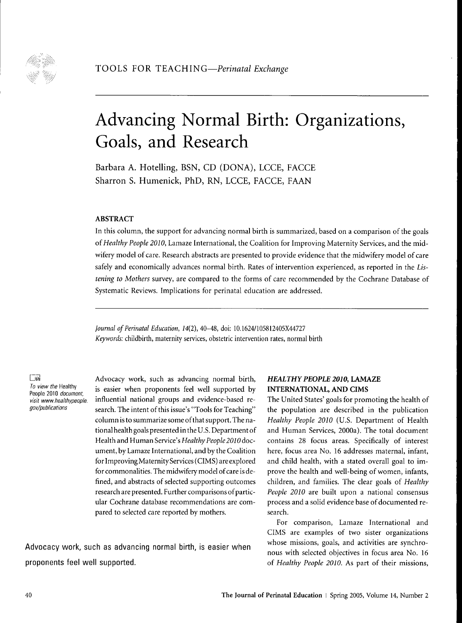

# Advancing Normal Birth: Organizations, Goals, and Research

Barbara A. Hotelling, BSN, CD (DONA), LCCE, FACCE Sharron S. Humenick, PhD, RN, LCCE, FACCE, FAAN

# **ABSTRACT**

In this column, the support for advancing normal birth is summarized, based on a comparison of the goals *of Healthy People 2010,* Lamaze International, the Coalition for Improving Maternity Services, and the midwifery model of care. Research abstracts are presented to provide evidence that the midwifery model of care safely and economically advances normal birth. Rates of intervention experienced, as reported in the *Listening to Mothers* survey, are compared to the forms of care recommended by the Cochrane Database of Systematic Reviews. Implications for perinatal education are addressed.

*Journal of Perinatal Education, 14(2),* 40-48, doi: 10.1624/105812405X44727 *Keywords:* childbirth, maternity services, obstetric intervention rates, normal birth

People 2010 document,

0 3 Advocacy work, such as advancing normal birth, is easier when proponents feel well supported by *visit www.healthypeople.* influential national groups and evidence-based re-<br>*gov/publications* search. The intent of this issue's "Tools for Teaching" search. The intent of this issue's "Tools for Teaching" column is to summarize some of that support. The national health goals presented in the U.S. Department of Health and Human Service's *Healthy People 2010 doc*ument, by Lamaze International, and by the Coalition for ImprovingMaternity Services (CIMS) are explored for commonalities. The midwifery model of care is defined, and abstracts of selected supporting outcomes research are presented. Further comparisons of particular Cochrane database recommendations are compared to selected care reported by mothers.

Advocacy work, such as advancing normal birth, is easier when proponents feel well supported.

# *HEALTHY PEOPLE 2010,* **LAMAZE INTERNATIONAL, AND CIMS**

The United States' goals for promoting the health of the population are described in the publication *Healthy People 2010* (U.S. Department of Health and Human Services, 2000a). The total document contains 28 focus areas. Specifically of interest here, focus area No. 16 addresses maternal, infant, and child health, with a stated overall goal to improve the health and well-being of women, infants, children, and families. The clear goals of *Healthy People 2010* are built upon a national consensus process and a solid evidence base of documented research.

For comparison, Lamaze International and CIMS are examples of two sister organizations whose missions, goals, and activities are synchronous with selected objectives in focus area No. 16 of *Healthy People 2010.* As part of their missions.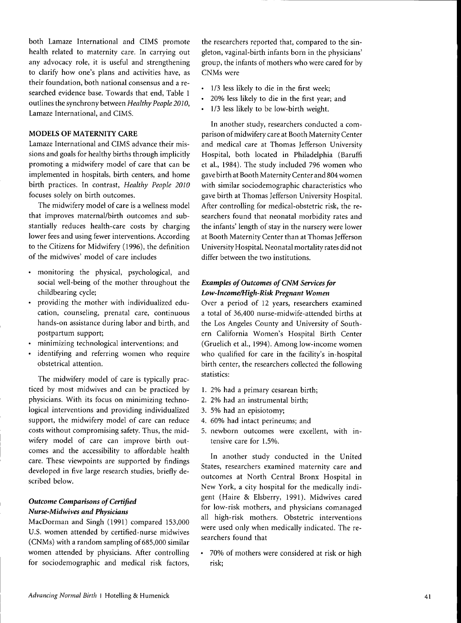both Lamaze International and CIMS promote health related to maternity care. In carrying out any advocacy role, it is useful and strengthening to clarify how one's plans and activities have, as their foundation, both national consensus and a researched evidence base. Towards that end. Table 1 outlines the synchrony between *Healthy People 2010,* Lamaze International, and CIMS.

# **MODELS OF MATERNITY CARE**

Lamaze International and CIMS advance their missions and goals for healthy births through implicitly promoting a midwifery model of care that can be implemented in hospitals, birth centers, and home birth practices. In contrast. *Healthy People 2010* focuses solely on birth outcomes.

The midwifery model of care is a wellness model that improves maternal/birth outcomes and substantially reduces health-care costs by charging lower fees and using fewer interventions. According to the Citizens for Midwifery (1996), the definition of the midwives' model of care includes

- monitoring the physical, psychological, and social well-being of the mother throughout the childbearing cycle;
- providing the mother with individualized education, counseling, prenatal care, continuous hands-on assistance during labor and birth, and postpartum support;
- minimizing technological interventions; and
- identifying and referring women who require obstetrical attention.

The midwifery model of care is typically practiced by most midwives and can be practiced by physicians. With its focus on minimizing technological interventions and providing individualized support, the midwifery model of care can reduce costs without compromising safety. Thus, the midwifery model of care can improve birth outcomes and the accessibility to affordable health care. These viewpoints are supported by findings developed in five large research studies, briefly described below.

# *Outcome Comparisons of Certified Nurse-Midwives and Physicians*

MacDorman and Singh (1991) compared 153,000 U.S. women attended by certified-nurse midwives (CNMs) with a random sampling of 685,000 similar women attended by physicians. After controlling for sociodemographic and medical risk factors. the researchers reported that, compared to the singleton, vaginal-birth infants born in the physicians' group, the infants of mothers who were cared for by CNMs were

- 1/3 less likely to die in the first week;
- 20% less likely to die in the first year; and
- 1/3 less likely to be low-birth weight.

In another study, researchers conducted a comparison of midwifery care at Booth Maternity Center and medical care at Thomas lefferson University Hospital, both located in Philadelphia (Baruffi et al, 1984). The study included 796 women who gave birth at Booth Maternity Center and 804 women with similar sociodemographic characteristics who gave birth at Thomas Jefferson University Hospital. After controlling for medical-obstetric risk, the researchers found that neonatal morbidity rates and the infants' length of stay in the nursery were lower at Booth Maternity Center than at Thomas Jefferson University Hospital. Neonatal mortality rates did not differ between the two institutions.

# *Examples of Outcomes ofCNM Services for Low-Income/High-Risk Pregnant Women*

Over a period of 12 years, researchers examined a total of 36,400 nurse-midwife-attended births at the Los Angeles County and University of Southern California Women's Hospital Birth Center (Gruelich et al, 1994). Among low-income women who qualified for care in the facility's in-hospital birth center, the researchers collected the following statistics:

- 1. 2% had a primary cesarean birth;
- 2. 2% had an instrumental birth;
- 3. 5% had an episiotomy;
- 4. 60% had intact perineums; and
- 5. newborn outcomes were excellent, with intensive care for 1.5%.

In another study conducted in the United States, researchers examined maternity care and outcomes at North Central Bronx Hospital in New York, a city hospital for the medically indigent (Haire & Elsberry, 1991). Midwives cared for low-risk mothers, and physicians comanaged all high-risk mothers. Obstetric interventions were used only when medically indicated. The researchers found that

• 70% of mothers were considered at risk or high risk;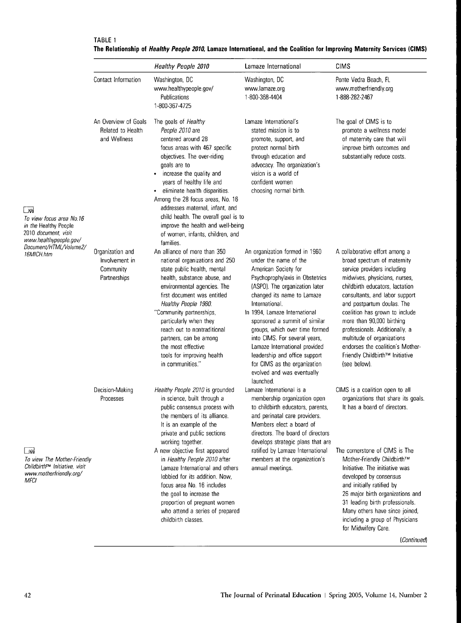|                                                                                                                                                           |                                                                 | <b>Healthy People 2010</b>                                                                                                                                                                                                                                                                                                                                                                                                                                                                                | Lamaze International                                                                                                                                                                                                                                                                                                                                                                                                                                                                   | <b>CIMS</b>                                                                                                                                                                                                                                                                                                                                                                                                                                            |
|-----------------------------------------------------------------------------------------------------------------------------------------------------------|-----------------------------------------------------------------|-----------------------------------------------------------------------------------------------------------------------------------------------------------------------------------------------------------------------------------------------------------------------------------------------------------------------------------------------------------------------------------------------------------------------------------------------------------------------------------------------------------|----------------------------------------------------------------------------------------------------------------------------------------------------------------------------------------------------------------------------------------------------------------------------------------------------------------------------------------------------------------------------------------------------------------------------------------------------------------------------------------|--------------------------------------------------------------------------------------------------------------------------------------------------------------------------------------------------------------------------------------------------------------------------------------------------------------------------------------------------------------------------------------------------------------------------------------------------------|
| Lma<br>To view focus area No.16<br><i>in the</i> Healthy People<br>2010 document, visit<br>www.healthypeople.gov/<br>Document/HTML/Volume2/<br>16MICH.htm | Contact Information                                             | Washington, DC<br>www.healthypeople.gov/<br>Publications<br>1-800-367-4725                                                                                                                                                                                                                                                                                                                                                                                                                                | Washington, DC<br>www.lamaze.org<br>1-800-368-4404                                                                                                                                                                                                                                                                                                                                                                                                                                     | Ponte Vedra Beach, FL<br>www.motherfriendly.org<br>1-888-282-2467                                                                                                                                                                                                                                                                                                                                                                                      |
|                                                                                                                                                           | An Overview of Goals<br>Related to Health<br>and Wellness       | The goals of Healthy<br>People 2010 are<br>centered around 28<br>focus areas with 467 specific<br>objectives. The over-riding<br>goals are to<br>increase the quality and<br>$\bullet$<br>years of healthy life and<br>eliminate health disparities.<br>Among the 28 focus areas, No. 16<br>addresses maternal, infant, and<br>child health. The overall goal is to<br>improve the health and well-being<br>of women, infants, children, and<br>families.                                                 | Lamaze International's<br>stated mission is to<br>promote, support, and<br>protect normal birth<br>through education and<br>advocacy. The organization's<br>vision is a world of<br>confident women<br>choosing normal birth.                                                                                                                                                                                                                                                          | The goal of CIMS is to<br>promote a wellness model<br>of maternity care that will<br>improve birth outcomes and<br>substantially reduce costs.                                                                                                                                                                                                                                                                                                         |
|                                                                                                                                                           | Organization and<br>Involvement in<br>Community<br>Partnerships | An alliance of more than 350<br>national organizations and 250<br>state public health, mental<br>health, substance abuse, and<br>environmental agencies. The<br>first document was entitled<br>Healthy People 1980.<br>"Community partnerships,<br>particularly when they<br>reach out to nontraditional<br>partners, can be among<br>the most effective<br>tools for improving health<br>in communities.                                                                                                 | An organization formed in 1960<br>under the name of the<br>American Society for<br>Psychoprophylaxis in Obstetrics<br>(ASPO). The organization later<br>changed its name to Lamaze<br>International.<br>In 1994, Lamaze International<br>sponsored a summit of similar<br>groups, which over time formed<br>into CIMS. For several years,<br>Lamaze International provided<br>leadership and office support<br>for CIMS as the organization<br>evolved and was eventually<br>launched. | A collaborative effort among a<br>broad spectrum of maternity<br>service providers including<br>midwives, physicians, nurses,<br>childbirth educators, lactation<br>consultants, and labor support<br>and postpartum doulas. The<br>coalition has grown to include<br>more than 90,000 birthing<br>professionals. Additionally, a<br>multitude of organizations<br>endorses the coalition's Mother-<br>Friendly Childbirth™ Initiative<br>(see below). |
| <u>_m</u><br>To view The Mother-Friendly<br>Childbirth <sup>™</sup> Initiative, visit<br>www.motherfriendly.org/<br>MFCI                                  | Decision-Making<br>Processes                                    | Healthy People 2010 is grounded<br>in science, built through a<br>public consensus process with<br>the members of its alliance.<br>It is an example of the<br>private and public sections<br>working together.<br>A new objective first appeared<br>in Healthy People 2010 after<br>Lamaze International and others<br>lobbied for its addition. Now,<br>focus area No. 16 includes<br>the goal to increase the<br>proportion of pregnant women<br>who attend a series of prepared<br>childbirth classes. | Lamaze International is a<br>membership organization open<br>to childbirth educators, parents,<br>and perinatal care providers.<br>Members elect a board of<br>directors. The board of directors<br>develops strategic plans that are<br>ratified by Lamaze International<br>members at the organization's<br>annual meetings.                                                                                                                                                         | CIMS is a coalition open to all<br>organizations that share its goals.<br>It has a board of directors.<br>The cornerstone of CIMS is The<br>Mother-Friendly Childbirth™<br>Initiative. The initiative was<br>developed by consensus<br>and initially ratified by<br>26 major birth organizations and<br>31 leading birth professionals.<br>Many others have since joined,<br>including a group of Physicians<br>for Midwifery Care.<br>$10 - 10$       |

# **TABLE 1 The Relationship of Healthy People 2010, tamaze International, and the Coalition for Improving Maternity Services (CIMS)**

(Continued]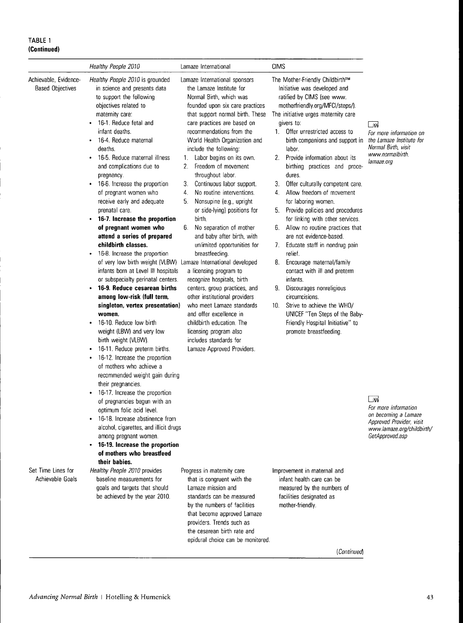# **TABLE 1 (Continued)**

|                                                  | Healthy People 2010                                                                                                                                                                                                                                                                                                                                                                                                                                                                                                                                                                                                                                                                                                                                                                                                                                                                                                                                                                                                                                                                                                                                                                                                                                                                                                                                                                          | Lamaze International                                                                                                                                                                                                                                                                                                                                                                                                                                                                                                                                                                                                                                                                                                                                                                                                                                                                                                                     | <b>CIMS</b>                                                                                                                                                                                                                                                                                                                                                                                                                                                                                                                                                                                                                                                                                                                                                                                                                                                                                                                          |                                                                                                                                                                                                                                                        |
|--------------------------------------------------|----------------------------------------------------------------------------------------------------------------------------------------------------------------------------------------------------------------------------------------------------------------------------------------------------------------------------------------------------------------------------------------------------------------------------------------------------------------------------------------------------------------------------------------------------------------------------------------------------------------------------------------------------------------------------------------------------------------------------------------------------------------------------------------------------------------------------------------------------------------------------------------------------------------------------------------------------------------------------------------------------------------------------------------------------------------------------------------------------------------------------------------------------------------------------------------------------------------------------------------------------------------------------------------------------------------------------------------------------------------------------------------------|------------------------------------------------------------------------------------------------------------------------------------------------------------------------------------------------------------------------------------------------------------------------------------------------------------------------------------------------------------------------------------------------------------------------------------------------------------------------------------------------------------------------------------------------------------------------------------------------------------------------------------------------------------------------------------------------------------------------------------------------------------------------------------------------------------------------------------------------------------------------------------------------------------------------------------------|--------------------------------------------------------------------------------------------------------------------------------------------------------------------------------------------------------------------------------------------------------------------------------------------------------------------------------------------------------------------------------------------------------------------------------------------------------------------------------------------------------------------------------------------------------------------------------------------------------------------------------------------------------------------------------------------------------------------------------------------------------------------------------------------------------------------------------------------------------------------------------------------------------------------------------------|--------------------------------------------------------------------------------------------------------------------------------------------------------------------------------------------------------------------------------------------------------|
| Achievable, Evidence-<br><b>Based Objectives</b> | Healthy People 2010 is grounded<br>in science and presents data<br>to support the following<br>objectives related to<br>maternity care:<br>16-1. Reduce fetal and<br>infant deaths.<br>16-4. Reduce maternal<br>deaths.<br>16-5. Reduce maternal illness<br>and complications due to<br>pregnancy.<br>16-6. Increase the proportion<br>$\bullet$<br>of pregnant women who<br>receive early and adequate<br>prenatal care.<br>16-7. Increase the proportion<br>٠<br>of pregnant women who<br>attend a series of prepared<br>childbirth classes.<br>16-8. Increase the proportion<br>of very low birth weight (VLBW) Lamaze International developed<br>infants born at Level III hospitals<br>or subspecialty perinatal centers.<br>16-9. Reduce cesarean births<br>$\bullet$<br>among low-risk (full term,<br>singleton, vertex presentation)<br>women.<br>16-10. Reduce low birth<br>weight (LBW) and very low<br>birth weight (VLBW).<br>16-11. Reduce preterm births.<br>16-12. Increase the proportion<br>٠<br>of mothers who achieve a<br>recommended weight gain during<br>their pregnancies.<br>16-17. Increase the proportion<br>of pregnancies begun with an<br>optimum folic acid level.<br>16-18. Increase abstinence from<br>alcohol, cigarettes, and illicit drugs<br>among pregnant women.<br>16-19. Increase the proportion<br>٠<br>of mothers who breastfeed<br>their babies. | Lamaze International sponsors<br>the Lamaze Institute for<br>Normal Birth, which was<br>founded upon six care practices<br>that support normal birth. These<br>care practices are based on<br>recommendations from the<br>World Health Organization and<br>include the following:<br>Labor begins on its own.<br>1.<br>Freedom of movement<br>2.<br>throughout labor.<br>Continuous labor support.<br>З.<br>No routine interventions.<br>4.<br>Nonsupine (e.g., upright<br>5.<br>or side-lying) positions for<br>birth.<br>6.<br>No separation of mother<br>and baby after birth, with<br>unlimited opportunities for<br>breastfeeding.<br>a licensing program to<br>recognize hospitals, birth<br>centers, group practices, and<br>other institutional providers<br>who meet Lamaze standards<br>and offer excellence in<br>childbirth education. The<br>licensing program also<br>includes standards for<br>Lamaze Approved Providers. | The Mother-Friendly Childbirth™<br>Initiative was developed and<br>ratified by CIMS (see www.<br>motherfriendly.org/MFCI/steps/).<br>The initiative urges maternity care<br>givers to:<br>1. Offer unrestricted access to<br>birth companions and support in<br>labor.<br>Provide information about its<br>2.<br>birthing practices and proce-<br>dures.<br>3.<br>Offer culturally competent care.<br>Allow freedom of movement<br>4.<br>for laboring women.<br>Provide policies and procedures<br>5.<br>for linking with other services.<br>Allow no routine practices that<br>6.<br>are not evidence-based.<br>7. Educate staff in nondrug pain<br>relief.<br>Encourage maternal/family<br>8.<br>contact with ill and preterm<br>infants.<br>Discourages nonreligious<br>9.<br>circumcisions.<br>Strive to achieve the WHO/<br>10.<br>UNICEF "Ten Steps of the Baby-<br>Friendly Hospital Initiative" to<br>promote breastfeeding. | ⊥ജ<br>For more information on<br>the Lamaze Institute for<br>Normal Birth, visit<br>www.normalbirth.<br>lamaze.org<br>∟md<br>For more information<br>on becoming a Lamaze<br>Approved Provider, visit<br>www.lamaze.org/childbirth/<br>GetApproved.asp |
| Set Time Lines for<br>Achievable Goals           | Healthy People 2010 provides<br>baseline measurements for<br>goals and targets that should<br>be achieved by the year 2010.                                                                                                                                                                                                                                                                                                                                                                                                                                                                                                                                                                                                                                                                                                                                                                                                                                                                                                                                                                                                                                                                                                                                                                                                                                                                  | Progress in maternity care<br>that is congruent with the<br>Lamaze mission and<br>standards can be measured<br>by the numbers of facilities<br>that become approved Lamaze<br>providers. Trends such as<br>the cesarean birth rate and<br>epidural choice can be monitored.                                                                                                                                                                                                                                                                                                                                                                                                                                                                                                                                                                                                                                                              | Improvement in maternal and<br>infant health care can be<br>measured by the numbers of<br>facilities designated as<br>mother-friendly.                                                                                                                                                                                                                                                                                                                                                                                                                                                                                                                                                                                                                                                                                                                                                                                               |                                                                                                                                                                                                                                                        |
|                                                  |                                                                                                                                                                                                                                                                                                                                                                                                                                                                                                                                                                                                                                                                                                                                                                                                                                                                                                                                                                                                                                                                                                                                                                                                                                                                                                                                                                                              |                                                                                                                                                                                                                                                                                                                                                                                                                                                                                                                                                                                                                                                                                                                                                                                                                                                                                                                                          | (Continued)                                                                                                                                                                                                                                                                                                                                                                                                                                                                                                                                                                                                                                                                                                                                                                                                                                                                                                                          |                                                                                                                                                                                                                                                        |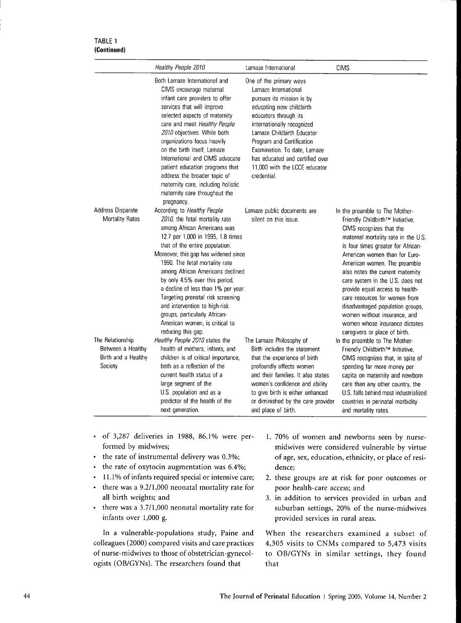|                                                                         | Healthy People 2010                                                                                                                                                                                                                                                                                                                                                                                                                                                                                                       | Lamaze International                                                                                                                                                                                                                                                                                                                          | <b>CIMS</b>                                                                                                                                                                                                                                                                                                                                                                                                                                                                                                                     |
|-------------------------------------------------------------------------|---------------------------------------------------------------------------------------------------------------------------------------------------------------------------------------------------------------------------------------------------------------------------------------------------------------------------------------------------------------------------------------------------------------------------------------------------------------------------------------------------------------------------|-----------------------------------------------------------------------------------------------------------------------------------------------------------------------------------------------------------------------------------------------------------------------------------------------------------------------------------------------|---------------------------------------------------------------------------------------------------------------------------------------------------------------------------------------------------------------------------------------------------------------------------------------------------------------------------------------------------------------------------------------------------------------------------------------------------------------------------------------------------------------------------------|
|                                                                         | Both Lamaze International and<br>CIMS encourage maternal<br>infant care providers to offer<br>services that will improve<br>selected aspects of maternity<br>care and meet Healthy People<br>2010 objectives. While both<br>organizations focus heavily<br>on the birth itself. Lamaze<br>International and CIMS advocate<br>patient education programs that<br>address the broader topic of<br>maternity care, including holistic<br>maternity care throughout the<br>pregnancy.                                         | One of the primary ways<br>Lamaze International<br>pursues its mission is by<br>educating new childbirth<br>educators through its<br>internationally recognized<br>Lamaze Childbirth Educator<br>Program and Certification<br>Examination. To date, Lamaze<br>has educated and certified over<br>11,000 with the LCCE educator<br>credential. |                                                                                                                                                                                                                                                                                                                                                                                                                                                                                                                                 |
| <b>Address Disparate</b><br>Mortality Rates                             | According to Healthy People<br>2010, the fetal mortality rate<br>among African Americans was<br>12.7 per 1,000 in 1995, 1.8 times<br>that of the entire population.<br>Moreover, this gap has widened since<br>1990. The fetal mortality rate<br>among African Americans declined<br>by only 4.5% over this period,<br>a decline of less than 1% per year.<br>Targeting prenatal risk screening<br>and intervention to high-risk<br>groups, particularly African-<br>American women, is critical to<br>reducing this gap. | Lamaze public documents are<br>silent on this issue.                                                                                                                                                                                                                                                                                          | In the preamble to The Mother-<br>Friendly Childbirth™ Initiative,<br>CIMS recognizes that the<br>maternal mortality rate in the U.S.<br>is four times greater for African-<br>American women than for Euro-<br>American women. The preamble<br>also notes the current maternity<br>care system in the U.S. does not<br>provide equal access to health-<br>care resources for women from<br>disadvantaged population groups,<br>women without insurance, and<br>women whose insurance dictates<br>caregivers or place of birth. |
| The Relationship<br>Between a Healthy<br>Birth and a Healthy<br>Society | Healthy People 2010 states the<br>health of mothers, infants, and<br>children is of critical importance.<br>both as a reflection of the<br>current health status of a<br>large segment of the<br>U.S. population and as a<br>predictor of the health of the<br>next generation.                                                                                                                                                                                                                                           | The Lamaze Philosophy of<br>Birth includes the statement<br>that the experience of birth<br>profoundly affects women<br>and their families. It also states<br>women's confidence and ability<br>to give birth is either enhanced<br>or diminished by the care provider<br>and place of birth.                                                 | In the preamble to The Mother-<br>Friendly Childbirth™ Initiative,<br>CIMS recognizes that, in spite of<br>spending far more money per<br>capita on maternity and newborn<br>care than any other country, the<br>U.S. falls behind most industrialized<br>countries in perinatal morbidity<br>and mortality rates.                                                                                                                                                                                                              |

- of 3,287 deliveries in 1988, 86.1% were performed by midwives;
- the rate of instrumental delivery was 0.3%;
- the rate of oxytocin augmentation was 6.4%;
- 11.1% of infants required special or intensive care;
- there was a 9.2/1,000 neonatal mortality rate for all birth weights; and
- there was a 3.7/1,000 neonatal mortality rate for infants over 1,000 g.

In a vulnerable-populations study, Paine and colleagues (2000) compared visits and care practices of nurse-midwives to those of obstetrician-gynecologists (OB/GYNs). The researchers found that

- 1. 70% of women and newborns seen by nursemidwives were considered vulnerable by virtue of age, sex, education, ethnicity, or place of residence;
- 2. these groups are at risk for poor outcomes or poor health-care access; and
- 3. in addition to services provided in urban and suburban settings, 20% of the nurse-midwives provided services in rural areas.

When the researchers examined a subset of 4,305 visits to CNMs compared to 5,473 visits to OB/GYNs in similar settings, they found that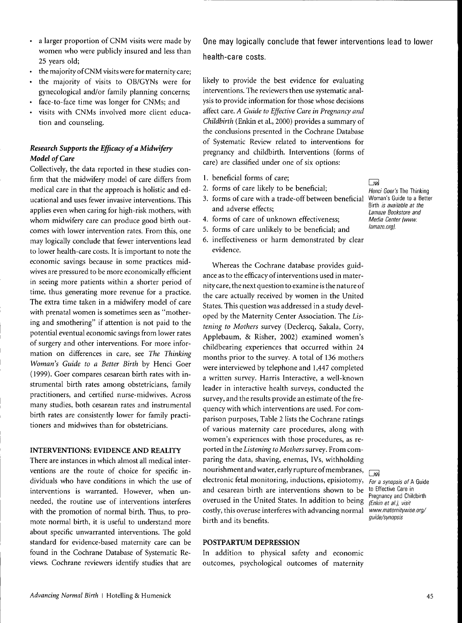- a larger proportion of CNM visits were made by women who were publicly insured and less than 25 years old;
- the majority of CNM visits were for maternity care;
- the majority of visits to OB/GYNs were for gynecological and/or family planning concerns;
- face-to-face time was longer for CNMs; and
- visits with CNMs involved more client education and counseling.

# *Research Supports the Efficacy of a Midwifery Model of Care*

Collectively, the data reported in these studies confirm that the midwifery model of care differs from medical care in that the approach is holistic and educational and uses fewer invasive interventions. This applies even when caring for high-risk mothers, with whom midwifery care can produce good birth outcomes with lower intervention rates. From this, one may logically conclude that fewer interventions lead to lower health-care costs. It is important to note the economic savings because in some practices midwives are pressured to be more economically efficient in seeing more patients within a shorter period of time, thus generating more revenue for a practice. The extra time taken in a midwifery model of care with prenatal women is sometimes seen as "mothering and smothering" if attention is not paid to the potential eventual economic savings from lower rates of surgery and other interventions. For more information on differences in care, see *The Thinking Woman's Guide to a Better Birth* by Henci Goer (1999). Goer compares cesarean birth rates with instrumental birth rates among obstetricians, family practitioners, and certified nurse-midwives. Across many studies, both cesarean rates and instrumental birth rates are consistently lower for family practitioners and midwives than for obstetricians.

### **INTERVENTIONS: EVIDENCE AND REALITY**

There are instances in which almost all medical interventions are the route of choice for specific individuals who have conditions in which the use of interventions is warranted. However, when unneeded, the routine use of interventions interferes with the promotion of normal birth. Thus, to promote normal birth, it is useful to understand more about specific unwarranted interventions. The gold standard for evidence-based maternity care can be found in the Cochrane Database of Systematic Reviews. Cochrane reviewers identify studies that are

One may logically conclude that fewer interventions lead to lower health-care costs.

likely to provide the best evidence for evaluating interventions. The reviewers then use systematic analysis to provide information for those whose decisions affect care. *A Guide to Effective Care in Pregnancy and Childbirth* (Enkin et al, 2000) provides a summary of the conclusions presented in the Cochrane Database of Systematic Review related to interventions for pregnancy and childbirth. Interventions (forms of care) are classified under one of six options:

- 1. beneficial forms of care;
- 2. forms of care likely to be beneficial;
- 3. forms of care with a trade-off between beneficial Woman's Guide to a Better and adverse effects;
- 4. forms of care of unknown effectiveness;
- 5. forms of care unlikely to be beneficial; and
- 6. ineffectiveness or harm demonstrated by clear evidence.

Whereas the Cochrane database provides guidance as to the efficacy of interventions used in maternity care, the next question to examine is the nature of the care actually received by women in the United States. This question was addressed in a study developed by the Maternity Center Association. The *Listening to Mothers* survey (Declercq, Sakala, Corry, Applebaum, & Risher, 2002) examined women's childbearing experiences that occurred within 24 months prior to the survey. A total of 136 mothers were interviewed by telephone and 1,447 completed a written survey. Harris Interactive, a well-known leader in interactive health surveys, conducted the survey, and the results provide an estimate of the frequency with which interventions are used. For comparison purposes. Table 2 lists the Cochrane ratings of various maternity care procedures, along with women's experiences with those procedures, as reported in the *Listening to Mothers* survey. From comparing the data, shaving, enemas, IVs, withholding nourishment and water, early rupture of membranes, electronic fetal monitoring, inductions, episiotomy, and cesarean birth are interventions shown to be overused in the United States. In addition to being costly, this overuse interferes with advancing normal birth and its benefits.

#### **POSTPARTUM DEPRESSION**

In addition to physical safety and economic outcomes, psychological outcomes of maternity

# $\Box$ m

Henci Goer's The Thinking Birth is available at the Lamaze Bookstore and Media Center (www. lamaze.org).

**r—i** For a synopsis of A Guide to Effective Care in Pregnancy and Childbirth (Enkin et al.), visit www.maternitywise.org/ guide/synopsis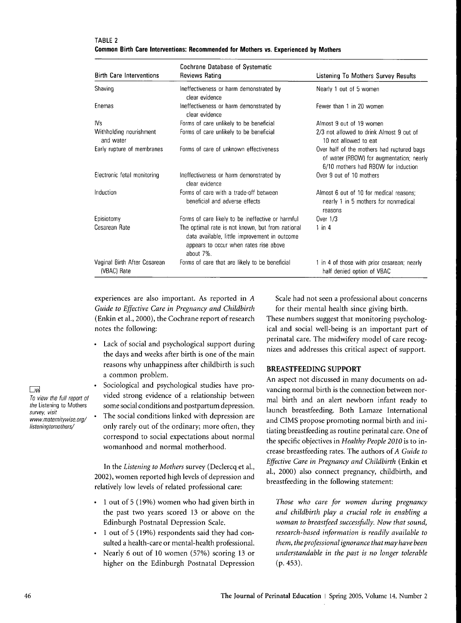| <b>Birth Care Interventions</b>             | <b>Cochrane Database of Systematic</b><br>Reviews Rating                                                                                                 | <b>Listening To Mothers Survey Results</b>                                                                                    |
|---------------------------------------------|----------------------------------------------------------------------------------------------------------------------------------------------------------|-------------------------------------------------------------------------------------------------------------------------------|
| Shaving                                     | Ineffectiveness or harm demonstrated by<br>clear evidence                                                                                                | Nearly 1 out of 5 women                                                                                                       |
| Enemas                                      | Ineffectiveness or harm demonstrated by<br>clear evidence                                                                                                | Fewer than 1 in 20 women                                                                                                      |
| <b>IVs</b>                                  | Forms of care unlikely to be beneficial                                                                                                                  | Almost 9 out of 19 women                                                                                                      |
| Withholding nourishment<br>and water        | Forms of care unlikely to be beneficial                                                                                                                  | 2/3 not allowed to drink Almost 9 out of<br>10 not allowed to eat                                                             |
| Early rupture of membranes                  | Forms of care of unknown effectiveness                                                                                                                   | Over half of the mothers had ruptured bags<br>of water (RBOW) for augmentation; nearly<br>6/10 mothers had RBOW for induction |
| Electronic fetal monitoring                 | Ineffectiveness or harm demonstrated by<br>clear evidence                                                                                                | Over 9 out of 10 mothers                                                                                                      |
| Induction                                   | Forms of care with a trade-off between<br>beneficial and adverse effects                                                                                 | Almost 6 out of 10 for medical reasons:<br>nearly 1 in 5 mothers for nonmedical<br>reasons                                    |
| Episiotomy                                  | Forms of care likely to be ineffective or harmful                                                                                                        | Over 1/3                                                                                                                      |
| Cesarean Rate                               | The optimal rate is not known, but from national<br>data available, little improvement in outcome<br>appears to occur when rates rise above<br>about 7%. | $1$ in $4$                                                                                                                    |
| Vaginal Birth After Cesarean<br>(VBAC) Rate | Forms of care that are likely to be beneficial                                                                                                           | 1 in 4 of those with prior cesarean; nearly<br>half denied option of VBAC                                                     |

# **TABLE** 2 **Common Birth Care Interventions: Recommended for Mothers vs. Experienced by Mothers**

experiences are also important. As reported in *A Guide to Effective Care in Pregnancy and Childbirth* (Enkin et al., 2000), the Cochrane report of research notes the following:

- Lack of social and psychological support during the days and weeks after birth is one of the main reasons why unhappiness after childbirth is such a common problem.
- Sociological and psychological studies have provided strong evidence of a relationship between some social conditions and postpartum depression. The social conditions linked with depression are
- only rarely out of the ordinary; more often, they correspond to social expectations about normal womanhood and normal motherhood.

In the *Listening to Mothers* survey (Declercq et al., 2002), women reported high levels of depression and relatively low levels of related professional care:

- 1 out of 5 (19%) women who had given birth in the past two years scored 13 or above on the Edinburgh Postnatal Depression Scale.
- 1 out of 5 (19%) respondents said they had consulted a health-care or mental-health professional.
- Nearly 6 out of 10 women (57%) scoring 13 or higher on the Edinburgh Postnatal Depression

Scale had not seen a professional about concerns for their mental health since giving birth.

These numbers suggest that monitoring psychological and social well-being is an important part of perinatal care. The midwifery model of care recognizes and addresses this critical aspect of support.

# **BREASTFEEDING SUPPORT**

An aspect not discussed in many documents on advancing normal birth is the connection between normal birth and an alert newborn infant ready to launch breastfeeding. Both Lamaze International and CIMS propose promoting normal birth and initiating breastfeeding as routine perinatal care. One of the specific objectives in *Healthy People 2010* is to increase breastfeeding rates. The authors of A *Cuide to Effective Care in Pregnancy and Childbirth* (Enkin et al, 2000) also connect pregnancy, childbirth, and breastfeeding in the following statement:

*Those who care for women during pregnancy and childbirth play a crucial role in enabling a woman to breastfeed successfully. Now that sound, research-based information is readily available to them, the professional ignorance that may have been understandable in the past is no longer tolerable* (p. 453).

 $\Box$ m To view the full report of the Listening to Mothers survey, visit www. maternitywise. org/ listeningtomothers/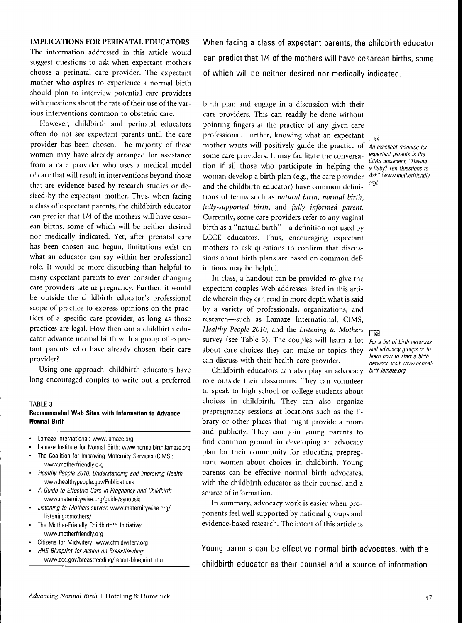# **IMPLICATIONS FOR PERINATAL EDUCATORS**

The information addressed in this article would suggest questions to ask when expectant mothers choose a perinatal care provider. The expectant mother who aspires to experience a normal birth should plan to interview potential care providers with questions about the rate of their use of the various interventions common to obstetric care.

However, childbirth and perinatal educators often do not see expectant parents until the care provider has been chosen. The majority of these women may have already arranged for assistance from a care provider who uses a medical model of care that will result in interventions beyond those that are evidence-based by research studies or desired by the expectant mother. Thus, when facing a class of expectant parents, the childbirth educator can predict that 1/4 of the mothers will have cesarean births, some of which will be neither desired nor medically indicated. Yet, after prenatal care has been chosen and begun, limitations exist on what an educator can say within her professional role. It would be more disturbing than helpful to many expectant parents to even consider changing care providers late in pregnancy. Further, it would be outside the childbirth educator's professional scope of practice to express opinions on the practices of a specific care provider, as long as those practices are legal. How then can a childbirth educator advance normal birth with a group of expectant parents who have already chosen their care provider?

Using one approach, childbirth educators have long encouraged couples to write out a preferred

#### TABLE 3

#### **Recommended Web Sites with Information to Advance Normal Birth**

- Lamaze International: www.lamaze.org
- Lamaze Institute for Normal Birth: www.normalbirth.lamaze.org
- The Coalition for Improving Maternity Services (CIMS): www.motherfriendly.org
- Healthy People 2010: Understanding and Improving Health: www.healthypeople.gov/Publications
- A Guide to Effective Care in Pregnancy and Childbirth: www.maternitywise.org/guide/synopsis
- Listening to Mothers survey: www.maternitywise.org/ listeningtomothers/
- The Mother-Friendly Childbirth™ Initiative: www.motherfriendly.org
- Citizens for Midwifery: www.cfmidwifery.org
- HHS Blueprint for Action on Breastfeeding: www.cdc.gov/breastfeeding/report-blueprint.htm

When facing a class of expectant parents, the childbirth educator can predict that 1/4 of the mothers will have cesarean births, some of which will be neither desired nor medically indicated.

mother wants will positively guide the practice of An excellent resource for woman develop a birth plan (e.g., the care provider  $\Delta s^2$  (www.motherfriendly. birth plan and engage in a discussion with their care providers. This can readily be done without pointing fingers at the practice of any given care professional. Further, knowing what an expectant  $\Box$ some care providers. It may facilitate the conversation if all those who participate in helping the and the childbirth educator) have common definitions of terms such as *natural birth, normal birth, fully-supported birth,* and *fully informed parent.* Currently, some care providers refer to any vaginal birth as a "natural birth"—a definition not used by LCCE educators. Thus, encouraging expectant mothers to ask questions to confirm that discussions about birth plans are based on common definitions may be helpful.

In class, a handout can be provided to give the expectant couples Web addresses listed in this article wherein they can read in more depth what is said by a variety of professionals, organizations, and research—such as Lamaze International, CIMS, *Healthy People 2010,* and the *Listening to Mothers* survey (see Table 3). The couples will learn a lot about care choices they can make or topics they can discuss with their health-care provider.

Childbirth educators can also play an advocacy role outside their classrooms. They can volunteer to speak to high school or college students about choices in childbirth. They can also organize prepregnancy sessions at locations such as the library or other places that might provide a room and publicity. They can join young parents to find common ground in developing an advocacy plan for their community for educating prepregnant women about choices in childbirth. Young parents can be effective normal birth advocates, with the childbirth educator as their counsel and a source of information.

In summary, advocacy work is easier when proponents feel well supported by national groups and evidence-based research. The intent of this article is

Young parents can be effective normal birth advocates, with the childbirth educator as their counsel and a source of information.

expectant parents is the CiMS document, "Having a Bahy? Ten Questions to

orgl.

 $\Box$ m

For a list of birth networks and advocacy groups or to learn how to start a birth network, visit www.normalhirth.lamaze.org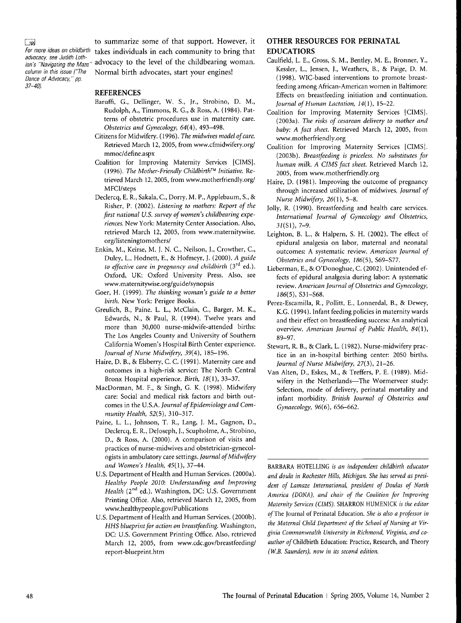column in this issue f'The Dance of Advocacy," pp. 37-40).

 $\begin{bmatrix} \mathcal{G} \\ \mathcal{G} \end{bmatrix}$  to summarize some of that support. However, it for more ideas on childbirth takes individuals in each community to bring that *For more ideas on childbirth* takes individuals in each community to bring that *advocacy, see Judith Loth* advocacy, see Judith Loth-<br>*ian's "Navigating the Maze"* advocacy to the level of the childbearing woman. Can Normal birth advocates, start your engines!

# **REFERENCES**

- Baruffi, G., Dellinger, W. S., Jr., Strobino, D. M., Rudolph, A., Timmons, R. G., & Ross, A. (1984). Patterns of obstetric procedures use in maternity care. *Obstetrics and Gynecology,* 64(4), 493-498.
- Citizens for Midwifery. (1996). *The midwives model of care.* Retrieved March 12, 2005, from www.cfmidwifery.org/ mmoc/define.aspx
- Coalition for Improving Maternity Services [CIMS]. (1996). *The Mother-Friendly Childbirth™ Initiative.* Retrieved March 12, 2005, from www.motherfriendly.org/ MFCI/steps
- Declercq, E. R., Sakala, C, Dorry, M. P., Applebaum, S., & Risher, P. (2002). *Listening to mothers: Report of the first national U.S. survey of women's childbearing experiences.* New York: Maternity Center Association. Also, retrieved March 12, 2005, from www.maternitywise. org/listeningtomothers/
- Enkin, M., Keirse, M. J. N. C, Neilson, J., Crowther, C, Duley, L., Hodnett, E., & Hofmeyr, J. (2000). *A guide to effective care in pregnancy and childbirth* (3<sup>rd</sup> ed.). Oxford, UK: Oxford University Press. Also, see www.maternitywise.org/guide/synopsis
- Goer, H. (1999). *The thinking woman's guide to a better birth.* New York: Perigee Books.
- Greulich, B., Paine. L. L, McClain, C, Barger, M. K., Edwards, N., & Paul, R. (1994). Twelve years and more than 30,000 nurse-midwife-attended births: The Los Angeles County and University of Southern California Women's Hospital Birth Center experience. *Journal of Nurse Midwifery,* 39(4), 185-196.
- Haire, D. B., & Elsberry, C. C. (1991). Maternity care and outcomes in a high-risk service: The North Central Bronx Hospital experience. *Birth*, 18(1), 33-37.
- MacDorman, M. F., & Singh, G. K. (1998). Midwifery care: Social and medical risk factors and birth outcomes in the U.S.A. *Journal of Epidemiology and Community Health,* 52(5), 310-317.
- Paine, L. L., Johnson, T. R., Lang, J. M., Gagnon, D., Declercq, E. R., Dejoseph, J., Scupholme, A., Strobino, D., & Ross, A. (2000). A comparison of visits and practices of nurse-midwives and obstetrician-gynecologists in ambulatory care settings. *Journal of Midwifery and Women's Health,* 45(1), 37-44.
- U.S. Department of Health and Human Services. (2000a). *Healthy People 2010: Understanding and Improving Health* (2<sup>nd</sup> ed.). Washington, DC: U.S. Government Printing Office. Also, retrieved March 12, 2005, from www.healthypeople.gov/Publications
- U.S. Department of Health and Human Services. (2000b). *HHS blueprint for action on breastfeeding.* Washington, DC: U.S. Government Printing Office. Also, retrieved March 12, 2005, from www.cdc.gov/breastfeeding/ report-blueprint.htm

### **OTHER RESOURCES FOR PERINATAL EDUCATIORS**

- Caulfield, L. E., Gross, S. M., Bentley, M. E., Bronner, Y., Kessler, L., Jensen, J., Weathers, B., & Paige, D. M. (1998). WIC-based interventions to promote breastfeeding among African-American women in Baltimore: Effects on breastfeeding initiation and continuation. *Journal of Human Lactation, 14{\),* 15-22.
- Coalition for Improving Maternity Services [CIMS]. (2003a). *The risks of cesarean delivery to mother and baby: A fact sheet.* Retrieved March 12, 2005, from www.motherfriendly.org
- Coalition for Improving Maternity Services [CIMS]. (2003b). *Breastfeeding is priceless. No substitutes for human milk. A CIMS fact sheet.* Retrieved March 12, 2005, from www.motherfriendly.org
- Haire, D. (1981). Improving the outcome of pregnancy through increased utilization of midwives. *Journal of Nurse Midwifery,* 26(1), 5-8.
- Jolly, R. (1990). Breastfeeding and health care services. *International Journal of Cynecology and Obstetrics,*  $3I(S1)$ , 7-9.
- Leighton, B. L., & Halpern, S. H. (2002). The effect of epidural analgesia on labor, maternal and neonatal outcomes: A systematic review. *American Journal of Obstetrics and Cynecology, 186{5),* S69-S77.
- Lieberman, E., & O'Donoghue, C. (2002). Unintended effects of epidural analgesia during labor: A systematic review. *American Journal of Obstetrics and Cynecology, 186{5),* S31-S68.
- Perez-Escamilla, R., Pollitt, E., Lonnerdal, B., & Dewey, K.G. (1994). Infant feeding policies in maternity wards and their effect on breastfeeding success: An analytical overview. *American Journal of Public Health,* 84(1), 89-97.
- Stewart, R. B., & Clark, L. (1982). Nurse-midwifery practice in an in-hospital birthing center: 2050 births. *Journal of Nurse Midwifery, 27{3),* 21—26.
- Van Alten, D., Eskes, M., & Treffers, P. E. (1989). Midwifery in the Netherlands—The Wormerveer study: Selection, mode of delivery, perinatal mortality and infant morbidity. *British Journal of Obstetrics and Cynaecology, 96(6),* 656-662.

BARBARA HOTELLING *is an independent childbirth educator and doula in Rochester Hills, Michigan. She has served as president of Lamaze International, president of Doulas of North America (DONA), and chair of the Coalition for Improving Maternity Services (QMS).* SHARRON HUMENICK *is the editor* of The Journal of Perinatal Education. *She is also a professor in the Maternal Child Department of the School of Nursing at Virginia Commonwealth University in Richmond, Virginia, and co*author of Childbirth Education: Practice, Research, and Theory *(W.B. Saunders), now in its second edition.*